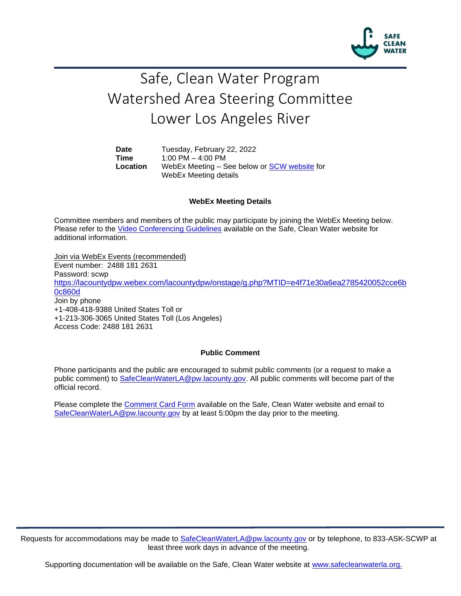

## Safe, Clean Water Program Watershed Area Steering Committee Lower Los Angeles River

Date Tuesday, February 22, 2022 **Time** 1:00 PM – 4:00 PM **Location** WebEx Meeting – See below or [SCW website](https://safecleanwaterla.org/lower-los-angeles-river-watershed-area/) for WebEx Meeting details

## **WebEx Meeting Details**

Committee members and members of the public may participate by joining the WebEx Meeting below. Please refer to the [Video Conferencing Guidelines](https://safecleanwaterla.org/video-conference-guidelines/) available on the Safe, Clean Water website for additional information.

Join via WebEx Events (recommended) Event number: 2488 181 2631 Password: scw[p](https://lacountydpw.webex.com/lacountydpw/onstage/g.php?MTID=e4f71e30a6ea2785420052cce6b0c860d) [https://lacountydpw.webex.com/lacountydpw/onstage/g.php?MTID=e4f71e30a6ea2785420052cce6b](https://lacountydpw.webex.com/lacountydpw/onstage/g.php?MTID=e4f71e30a6ea2785420052cce6b0c860d) [0c860d](https://lacountydpw.webex.com/lacountydpw/onstage/g.php?MTID=e4f71e30a6ea2785420052cce6b0c860d) Join by phone +1-408-418-9388 United States Toll or +1-213-306-3065 United States Toll (Los Angeles) Access Code: 2488 181 2631

## **Public Comment**

Phone participants and the public are encouraged to submit public comments (or a request to make a public comment) to [SafeCleanWaterLA@pw.lacounty.gov.](mailto:SafeCleanWaterLA@pw.lacounty.gov) All public comments will become part of the official record.

Please complete the Comment [Card Form](https://safecleanwaterla.org/video-conference-guidelines/) available on the Safe, Clean Water website and email to [SafeCleanWaterLA@pw.lacounty.gov](mailto:SafeCleanWaterLA@pw.lacounty.gov) by at least 5:00pm the day prior to the meeting.

Requests for accommodations may be made to [SafeCleanWaterLA@pw.lacounty.gov](mailto:SafeCleanWaterLA@pw.lacounty.gov) or by telephone, to 833-ASK-SCWP at least three work days in advance of the meeting.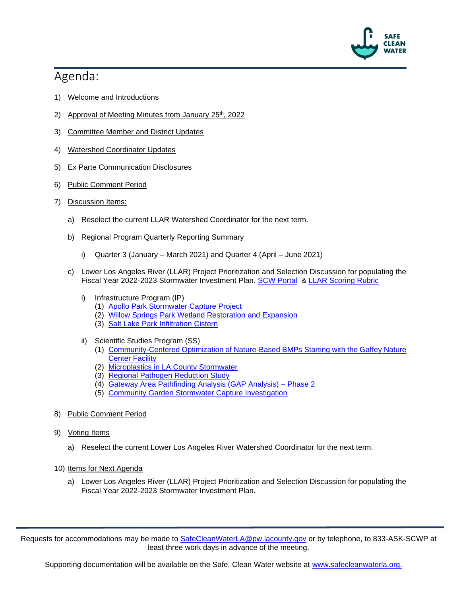

## Agenda:

- 1) Welcome and Introductions
- 2) Approval of Meeting Minutes from January  $25<sup>th</sup>$ , 2022
- 3) Committee Member and District Updates
- 4) Watershed Coordinator Updates
- 5) Ex Parte Communication Disclosures
- 6) Public Comment Period
- 7) Discussion Items:
	- a) Reselect the current LLAR Watershed Coordinator for the next term.
	- b) Regional Program Quarterly Reporting Summary
		- i) Quarter 3 (January March 2021) and Quarter 4 (April June 2021)
	- c) Lower Los Angeles River (LLAR) Project Prioritization and Selection Discussion for populating the Fiscal Year 2022-2023 Stormwater Investment Plan. [SCW Portal](https://portal.safecleanwaterla.org/scw-reporting/map) & [LLAR Scoring Rubric](https://safecleanwaterla.org/wp-content/uploads/2022/01/LLAR-Scoring-Rubric.pdf)
		- i) Infrastructure Program (IP)
			- (1) [Apollo Park Stormwater Capture Project](https://portal.safecleanwaterla.org/projects-module-api/api/summarydownload/pdf/13/235)
			- (2) [Willow Springs Park Wetland Restoration](https://portal.safecleanwaterla.org/projects-module-api/api/summarydownload/pdf/13/287) and Expansion
			- (3) [Salt Lake Park Infiltration Cistern](https://portal.safecleanwaterla.org/projects-module-api/api/summarydownload/pdf/13/310)
		- ii) Scientific Studies Program (SS)
			- (1) [Community-Centered Optimization of Nature-Based BMPs Starting with the Gaffey Nature](https://portal.safecleanwaterla.org/projects-module-api/api/reportdownload/pdf/21/39)  [Center Facility](https://portal.safecleanwaterla.org/projects-module-api/api/reportdownload/pdf/21/39)
			- (2) [Microplastics in LA County Stormwater](https://portal.safecleanwaterla.org/projects-module-api/api/reportdownload/pdf/21/51)
			- (3) [Regional Pathogen Reduction Study](https://portal.safecleanwaterla.org/projects-module-api/api/summarydownload/pdf/21/16)
			- (4) [Gateway Area Pathfinding Analysis \(GAP Analysis\) –](https://portal.safecleanwaterla.org/projects-module-api/api/summarydownload/pdf/21/14) Phase 2
			- (5) [Community Garden Stormwater Capture Investigation](https://portal.safecleanwaterla.org/projects-module-api/api/reportdownload/pdf/21/52)
- 8) Public Comment Period
- 9) Voting Items
	- a) Reselect the current Lower Los Angeles River Watershed Coordinator for the next term.
- 10) Items for Next Agenda
	- a) Lower Los Angeles River (LLAR) Project Prioritization and Selection Discussion for populating the Fiscal Year 2022-2023 Stormwater Investment Plan.

Requests for accommodations may be made to [SafeCleanWaterLA@pw.lacounty.gov](mailto:SafeCleanWaterLA@pw.lacounty.gov) or by telephone, to 833-ASK-SCWP at least three work days in advance of the meeting.